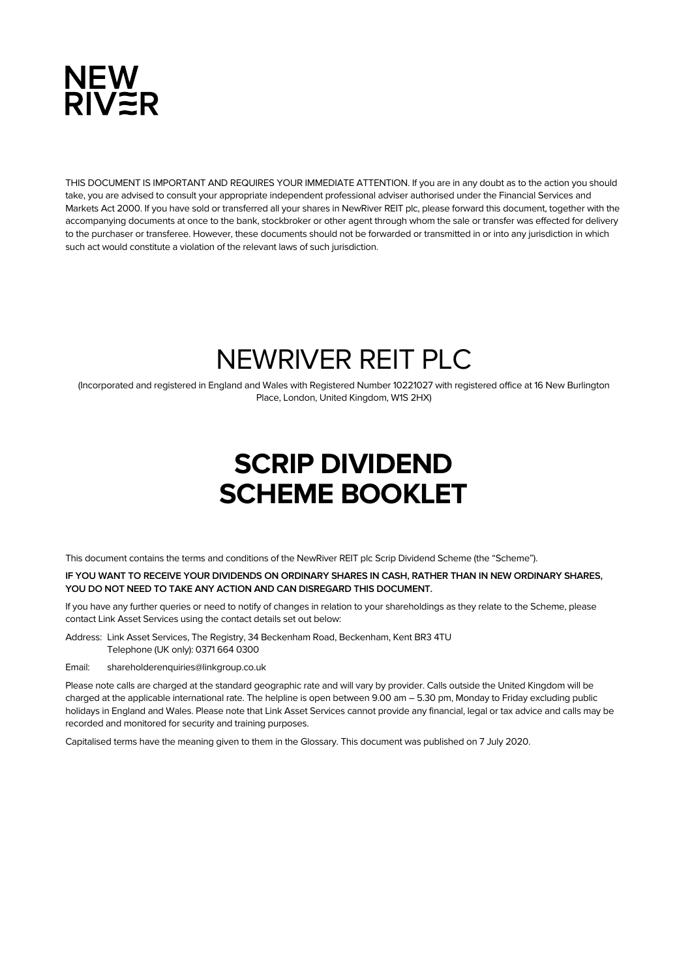

THIS DOCUMENT IS IMPORTANT AND REQUIRES YOUR IMMEDIATE ATTENTION. If you are in any doubt as to the action you should take, you are advised to consult your appropriate independent professional adviser authorised under the Financial Services and Markets Act 2000. If you have sold or transferred all your shares in NewRiver REIT plc, please forward this document, together with the accompanying documents at once to the bank, stockbroker or other agent through whom the sale or transfer was effected for delivery to the purchaser or transferee. However, these documents should not be forwarded or transmitted in or into any jurisdiction in which such act would constitute a violation of the relevant laws of such jurisdiction.

# NEWRIVER REIT PLC

(Incorporated and registered in England and Wales with Registered Number 10221027 with registered office at 16 New Burlington Place, London, United Kingdom, W1S 2HX)

# **SCRIP DIVIDEND SCHEME BOOKLET**

This document contains the terms and conditions of the NewRiver REIT plc Scrip Dividend Scheme (the "Scheme").

# **IF YOU WANT TO RECEIVE YOUR DIVIDENDS ON ORDINARY SHARES IN CASH, RATHER THAN IN NEW ORDINARY SHARES, YOU DO NOT NEED TO TAKE ANY ACTION AND CAN DISREGARD THIS DOCUMENT.**

If you have any further queries or need to notify of changes in relation to your shareholdings as they relate to the Scheme, please contact Link Asset Services using the contact details set out below:

Address: Link Asset Services, The Registry, 34 Beckenham Road, Beckenham, Kent BR3 4TU Telephone (UK only): 0371 664 0300

Email: shareholderenquiries@linkgroup.co.uk

Please note calls are charged at the standard geographic rate and will vary by provider. Calls outside the United Kingdom will be charged at the applicable international rate. The helpline is open between 9.00 am – 5.30 pm, Monday to Friday excluding public holidays in England and Wales. Please note that Link Asset Services cannot provide any financial, legal or tax advice and calls may be recorded and monitored for security and training purposes.

Capitalised terms have the meaning given to them in the Glossary. This document was published on 7 July 2020.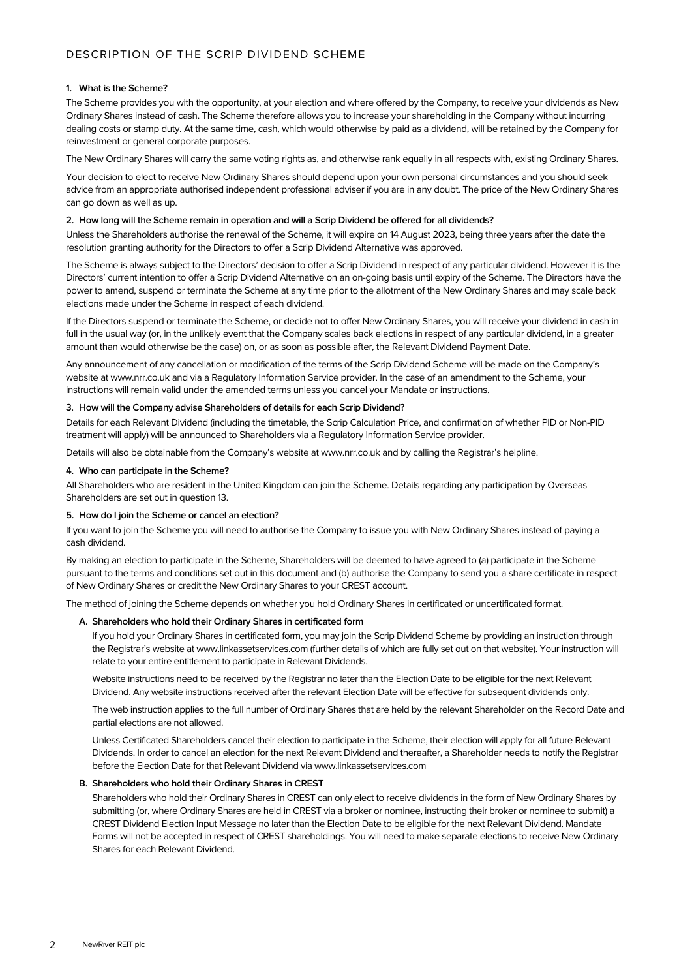# **1. What is the Scheme?**

The Scheme provides you with the opportunity, at your election and where offered by the Company, to receive your dividends as New Ordinary Shares instead of cash. The Scheme therefore allows you to increase your shareholding in the Company without incurring dealing costs or stamp duty. At the same time, cash, which would otherwise by paid as a dividend, will be retained by the Company for reinvestment or general corporate purposes.

The New Ordinary Shares will carry the same voting rights as, and otherwise rank equally in all respects with, existing Ordinary Shares.

Your decision to elect to receive New Ordinary Shares should depend upon your own personal circumstances and you should seek advice from an appropriate authorised independent professional adviser if you are in any doubt. The price of the New Ordinary Shares can go down as well as up.

# **2. How long will the Scheme remain in operation and will a Scrip Dividend be offered for all dividends?**

Unless the Shareholders authorise the renewal of the Scheme, it will expire on 14 August 2023, being three years after the date the resolution granting authority for the Directors to offer a Scrip Dividend Alternative was approved.

The Scheme is always subject to the Directors' decision to offer a Scrip Dividend in respect of any particular dividend. However it is the Directors' current intention to offer a Scrip Dividend Alternative on an on-going basis until expiry of the Scheme. The Directors have the power to amend, suspend or terminate the Scheme at any time prior to the allotment of the New Ordinary Shares and may scale back elections made under the Scheme in respect of each dividend.

If the Directors suspend or terminate the Scheme, or decide not to offer New Ordinary Shares, you will receive your dividend in cash in full in the usual way (or, in the unlikely event that the Company scales back elections in respect of any particular dividend, in a greater amount than would otherwise be the case) on, or as soon as possible after, the Relevant Dividend Payment Date.

Any announcement of any cancellation or modification of the terms of the Scrip Dividend Scheme will be made on the Company's website at www.nrr.co.uk and via a Regulatory Information Service provider. In the case of an amendment to the Scheme, your instructions will remain valid under the amended terms unless you cancel your Mandate or instructions.

# **3. How will the Company advise Shareholders of details for each Scrip Dividend?**

Details for each Relevant Dividend (including the timetable, the Scrip Calculation Price, and confirmation of whether PID or Non-PID treatment will apply) will be announced to Shareholders via a Regulatory Information Service provider.

Details will also be obtainable from the Company's website at www.nrr.co.uk and by calling the Registrar's helpline.

# **4. Who can participate in the Scheme?**

All Shareholders who are resident in the United Kingdom can join the Scheme. Details regarding any participation by Overseas Shareholders are set out in question 13.

# **5. How do I join the Scheme or cancel an election?**

If you want to join the Scheme you will need to authorise the Company to issue you with New Ordinary Shares instead of paying a cash dividend.

By making an election to participate in the Scheme, Shareholders will be deemed to have agreed to (a) participate in the Scheme pursuant to the terms and conditions set out in this document and (b) authorise the Company to send you a share certificate in respect of New Ordinary Shares or credit the New Ordinary Shares to your CREST account.

The method of joining the Scheme depends on whether you hold Ordinary Shares in certificated or uncertificated format.

# **A. Shareholders who hold their Ordinary Shares in certificated form**

If you hold your Ordinary Shares in certificated form, you may join the Scrip Dividend Scheme by providing an instruction through the Registrar's website at www.linkassetservices.com (further details of which are fully set out on that website). Your instruction will relate to your entire entitlement to participate in Relevant Dividends.

Website instructions need to be received by the Registrar no later than the Election Date to be eligible for the next Relevant Dividend. Any website instructions received after the relevant Election Date will be effective for subsequent dividends only.

The web instruction applies to the full number of Ordinary Shares that are held by the relevant Shareholder on the Record Date and partial elections are not allowed.

Unless Certificated Shareholders cancel their election to participate in the Scheme, their election will apply for all future Relevant Dividends. In order to cancel an election for the next Relevant Dividend and thereafter, a Shareholder needs to notify the Registrar before the Election Date for that Relevant Dividend via www.linkassetservices.com

# **B. Shareholders who hold their Ordinary Shares in CREST**

Shareholders who hold their Ordinary Shares in CREST can only elect to receive dividends in the form of New Ordinary Shares by submitting (or, where Ordinary Shares are held in CREST via a broker or nominee, instructing their broker or nominee to submit) a CREST Dividend Election Input Message no later than the Election Date to be eligible for the next Relevant Dividend. Mandate Forms will not be accepted in respect of CREST shareholdings. You will need to make separate elections to receive New Ordinary Shares for each Relevant Dividend.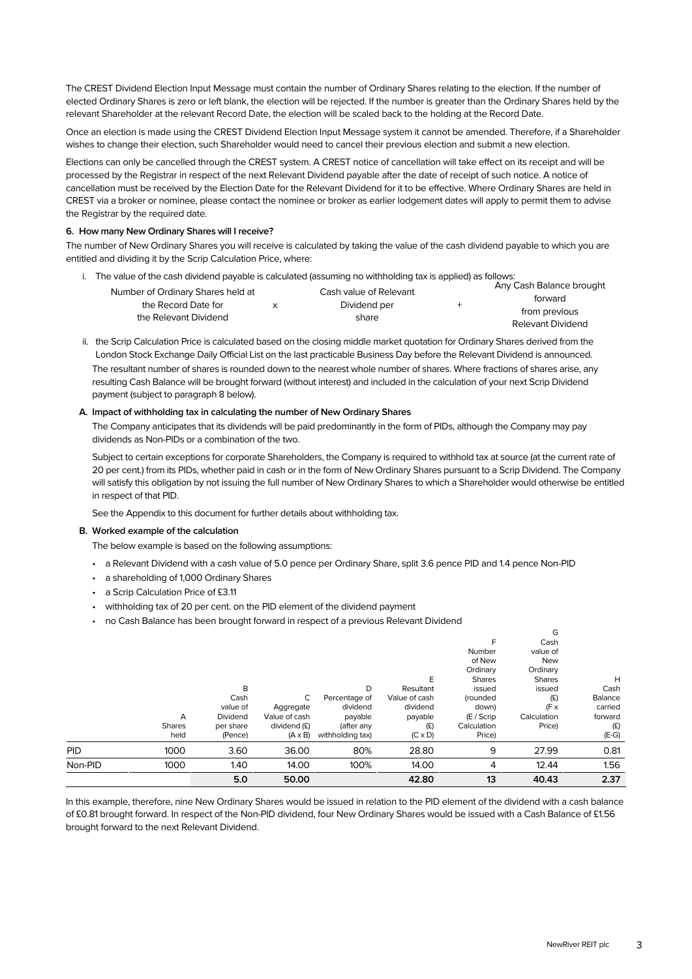The CREST Dividend Election Input Message must contain the number of Ordinary Shares relating to the election. If the number of elected Ordinary Shares is zero or left blank, the election will be rejected. If the number is greater than the Ordinary Shares held by the relevant Shareholder at the relevant Record Date, the election will be scaled back to the holding at the Record Date.

Once an election is made using the CREST Dividend Election Input Message system it cannot be amended. Therefore, if a Shareholder wishes to change their election, such Shareholder would need to cancel their previous election and submit a new election.

Elections can only be cancelled through the CREST system. A CREST notice of cancellation will take effect on its receipt and will be processed by the Registrar in respect of the next Relevant Dividend payable after the date of receipt of such notice. A notice of cancellation must be received by the Election Date for the Relevant Dividend for it to be effective. Where Ordinary Shares are held in CREST via a broker or nominee, please contact the nominee or broker as earlier lodgement dates will apply to permit them to advise the Registrar by the required date.

# **6. How many New Ordinary Shares will I receive?**

The number of New Ordinary Shares you will receive is calculated by taking the value of the cash dividend payable to which you are entitled and dividing it by the Scrip Calculation Price, where:

i. The value of the cash dividend payable is calculated (assuming no withholding tax is applied) as follows:

|                                              |  | Cash value of Relevant |  | Any Cash Balance brought |
|----------------------------------------------|--|------------------------|--|--------------------------|
| Number of Ordinary Shares held at            |  | Dividend per<br>share  |  | forward                  |
| the Record Date for<br>the Relevant Dividend |  |                        |  | from previous            |
|                                              |  |                        |  | Relevant Dividend        |

ii. the Scrip Calculation Price is calculated based on the closing middle market quotation for Ordinary Shares derived from the London Stock Exchange Daily Official List on the last practicable Business Day before the Relevant Dividend is announced. The resultant number of shares is rounded down to the nearest whole number of shares. Where fractions of shares arise, any resulting Cash Balance will be brought forward (without interest) and included in the calculation of your next Scrip Dividend payment (subject to paragraph 8 below).

# **A. Impact of withholding tax in calculating the number of New Ordinary Shares**

The Company anticipates that its dividends will be paid predominantly in the form of PIDs, although the Company may pay dividends as Non-PIDs or a combination of the two.

Subject to certain exceptions for corporate Shareholders, the Company is required to withhold tax at source (at the current rate of 20 per cent.) from its PIDs, whether paid in cash or in the form of New Ordinary Shares pursuant to a Scrip Dividend. The Company will satisfy this obligation by not issuing the full number of New Ordinary Shares to which a Shareholder would otherwise be entitled in respect of that PID.

See the Appendix to this document for further details about withholding tax.

# **B. Worked example of the calculation**

The below example is based on the following assumptions:

- a Relevant Dividend with a cash value of 5.0 pence per Ordinary Share, split 3.6 pence PID and 1.4 pence Non-PID
- a shareholding of 1,000 Ordinary Shares
- a Scrip Calculation Price of £3.11
- withholding tax of 20 per cent. on the PID element of the dividend payment
- no Cash Balance has been brought forward in respect of a previous Relevant Dividend

|            |                            | 5.0                                                       | 50.00                                                             |                                                                             | 42.80                                                                           | 13                                                                                                                         | 40.43                                                                                                                | 2.37                                                         |
|------------|----------------------------|-----------------------------------------------------------|-------------------------------------------------------------------|-----------------------------------------------------------------------------|---------------------------------------------------------------------------------|----------------------------------------------------------------------------------------------------------------------------|----------------------------------------------------------------------------------------------------------------------|--------------------------------------------------------------|
| Non-PID    | 1000                       | 1.40                                                      | 14.00                                                             | 100%                                                                        | 14.00                                                                           | 4                                                                                                                          | 12.44                                                                                                                | 1.56                                                         |
| <b>PID</b> | 1000                       | 3.60                                                      | 36.00                                                             | 80%                                                                         | 28.80                                                                           | 9                                                                                                                          | 27.99                                                                                                                | 0.81                                                         |
|            | A<br><b>Shares</b><br>held | B<br>Cash<br>value of<br>Dividend<br>per share<br>(Pence) | С<br>Aggregate<br>Value of cash<br>dividend (£)<br>$(A \times B)$ | D<br>Percentage of<br>dividend<br>payable<br>(after any<br>withholding tax) | E<br>Resultant<br>Value of cash<br>dividend<br>payable<br>(E)<br>$(C \times D)$ | F<br>Number<br>of New<br>Ordinary<br><b>Shares</b><br>issued<br>(rounded<br>down)<br>$(E /$ Scrip<br>Calculation<br>Price) | Cash<br>value of<br><b>New</b><br>Ordinary<br><b>Shares</b><br>issued<br>(E)<br>$(F \times$<br>Calculation<br>Price) | H<br>Cash<br>Balance<br>carried<br>forward<br>(E)<br>$(E-G)$ |

In this example, therefore, nine New Ordinary Shares would be issued in relation to the PID element of the dividend with a cash balance of £0.81 brought forward. In respect of the Non-PID dividend, four New Ordinary Shares would be issued with a Cash Balance of £1.56 brought forward to the next Relevant Dividend.

G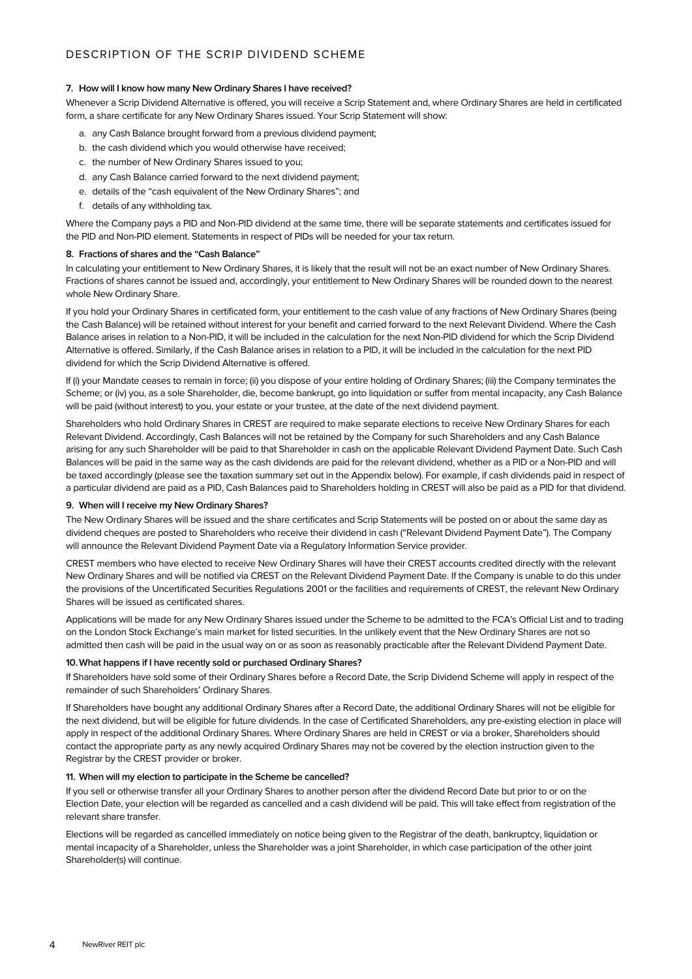# **7. How will I know how many New Ordinary Shares I have received?**

Whenever a Scrip Dividend Alternative is offered, you will receive a Scrip Statement and, where Ordinary Shares are held in certificated form, a share certificate for any New Ordinary Shares issued. Your Scrip Statement will show:

- a. any Cash Balance brought forward from a previous dividend payment;
- b. the cash dividend which you would otherwise have received;
- c. the number of New Ordinary Shares issued to you;
- d. any Cash Balance carried forward to the next dividend payment;
- e. details of the "cash equivalent of the New Ordinary Shares"; and
- f. details of any withholding tax.

Where the Company pays a PID and Non-PID dividend at the same time, there will be separate statements and certificates issued for the PID and Non-PID element. Statements in respect of PIDs will be needed for your tax return.

# **8. Fractions of shares and the "Cash Balance"**

In calculating your entitlement to New Ordinary Shares, it is likely that the result will not be an exact number of New Ordinary Shares. Fractions of shares cannot be issued and, accordingly, your entitlement to New Ordinary Shares will be rounded down to the nearest whole New Ordinary Share.

If you hold your Ordinary Shares in certificated form, your entitlement to the cash value of any fractions of New Ordinary Shares (being the Cash Balance) will be retained without interest for your benefit and carried forward to the next Relevant Dividend. Where the Cash Balance arises in relation to a Non-PID, it will be included in the calculation for the next Non-PID dividend for which the Scrip Dividend Alternative is offered. Similarly, if the Cash Balance arises in relation to a PID, it will be included in the calculation for the next PID dividend for which the Scrip Dividend Alternative is offered.

If (i) your Mandate ceases to remain in force; (ii) you dispose of your entire holding of Ordinary Shares; (iii) the Company terminates the Scheme; or (iv) you, as a sole Shareholder, die, become bankrupt, go into liquidation or suffer from mental incapacity, any Cash Balance will be paid (without interest) to you, your estate or your trustee, at the date of the next dividend payment.

Shareholders who hold Ordinary Shares in CREST are required to make separate elections to receive New Ordinary Shares for each Relevant Dividend. Accordingly, Cash Balances will not be retained by the Company for such Shareholders and any Cash Balance arising for any such Shareholder will be paid to that Shareholder in cash on the applicable Relevant Dividend Payment Date. Such Cash Balances will be paid in the same way as the cash dividends are paid for the relevant dividend, whether as a PID or a Non-PID and will be taxed accordingly (please see the taxation summary set out in the Appendix below). For example, if cash dividends paid in respect of a particular dividend are paid as a PID, Cash Balances paid to Shareholders holding in CREST will also be paid as a PID for that dividend.

# **9. When will I receive my New Ordinary Shares?**

The New Ordinary Shares will be issued and the share certificates and Scrip Statements will be posted on or about the same day as dividend cheques are posted to Shareholders who receive their dividend in cash ("Relevant Dividend Payment Date"). The Company will announce the Relevant Dividend Payment Date via a Regulatory Information Service provider.

CREST members who have elected to receive New Ordinary Shares will have their CREST accounts credited directly with the relevant New Ordinary Shares and will be notified via CREST on the Relevant Dividend Payment Date. If the Company is unable to do this under the provisions of the Uncertificated Securities Regulations 2001 or the facilities and requirements of CREST, the relevant New Ordinary Shares will be issued as certificated shares.

Applications will be made for any New Ordinary Shares issued under the Scheme to be admitted to the FCA's Official List and to trading on the London Stock Exchange's main market for listed securities. In the unlikely event that the New Ordinary Shares are not so admitted then cash will be paid in the usual way on or as soon as reasonably practicable after the Relevant Dividend Payment Date.

# **10.What happens if I have recently sold or purchased Ordinary Shares?**

If Shareholders have sold some of their Ordinary Shares before a Record Date, the Scrip Dividend Scheme will apply in respect of the remainder of such Shareholders' Ordinary Shares.

If Shareholders have bought any additional Ordinary Shares after a Record Date, the additional Ordinary Shares will not be eligible for the next dividend, but will be eligible for future dividends. In the case of Certificated Shareholders, any pre-existing election in place will apply in respect of the additional Ordinary Shares. Where Ordinary Shares are held in CREST or via a broker, Shareholders should contact the appropriate party as any newly acquired Ordinary Shares may not be covered by the election instruction given to the Registrar by the CREST provider or broker.

# **11. When will my election to participate in the Scheme be cancelled?**

If you sell or otherwise transfer all your Ordinary Shares to another person after the dividend Record Date but prior to or on the Election Date, your election will be regarded as cancelled and a cash dividend will be paid. This will take effect from registration of the relevant share transfer.

Elections will be regarded as cancelled immediately on notice being given to the Registrar of the death, bankruptcy, liquidation or mental incapacity of a Shareholder, unless the Shareholder was a joint Shareholder, in which case participation of the other joint Shareholder(s) will continue.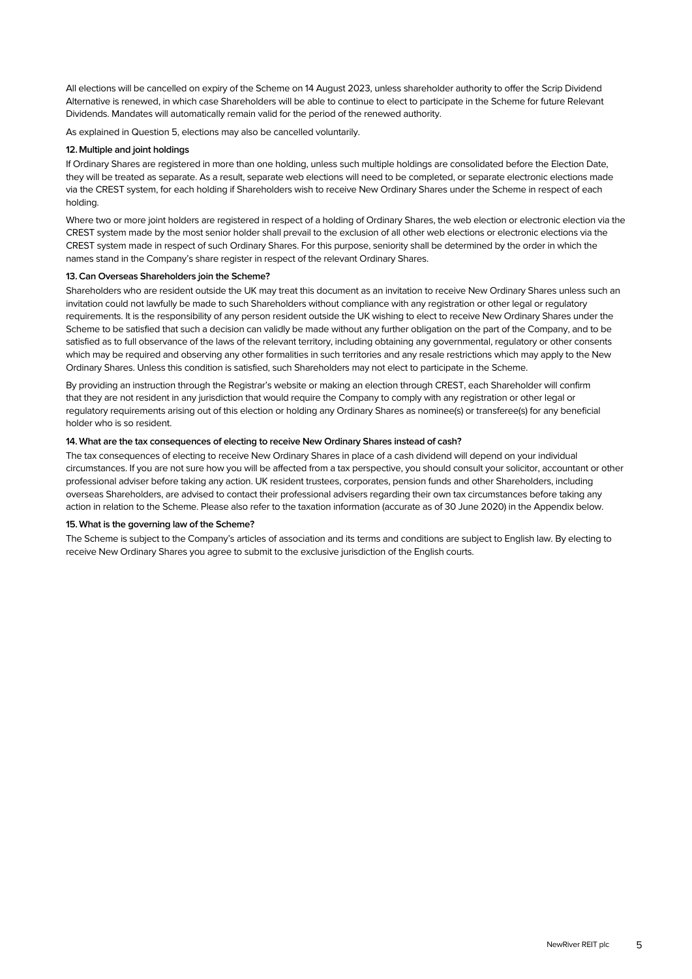All elections will be cancelled on expiry of the Scheme on 14 August 2023, unless shareholder authority to offer the Scrip Dividend Alternative is renewed, in which case Shareholders will be able to continue to elect to participate in the Scheme for future Relevant Dividends. Mandates will automatically remain valid for the period of the renewed authority.

As explained in Question 5, elections may also be cancelled voluntarily.

# **12. Multiple and joint holdings**

If Ordinary Shares are registered in more than one holding, unless such multiple holdings are consolidated before the Election Date, they will be treated as separate. As a result, separate web elections will need to be completed, or separate electronic elections made via the CREST system, for each holding if Shareholders wish to receive New Ordinary Shares under the Scheme in respect of each holding.

Where two or more joint holders are registered in respect of a holding of Ordinary Shares, the web election or electronic election via the CREST system made by the most senior holder shall prevail to the exclusion of all other web elections or electronic elections via the CREST system made in respect of such Ordinary Shares. For this purpose, seniority shall be determined by the order in which the names stand in the Company's share register in respect of the relevant Ordinary Shares.

# **13.Can Overseas Shareholders join the Scheme?**

Shareholders who are resident outside the UK may treat this document as an invitation to receive New Ordinary Shares unless such an invitation could not lawfully be made to such Shareholders without compliance with any registration or other legal or regulatory requirements. It is the responsibility of any person resident outside the UK wishing to elect to receive New Ordinary Shares under the Scheme to be satisfied that such a decision can validly be made without any further obligation on the part of the Company, and to be satisfied as to full observance of the laws of the relevant territory, including obtaining any governmental, regulatory or other consents which may be required and observing any other formalities in such territories and any resale restrictions which may apply to the New Ordinary Shares. Unless this condition is satisfied, such Shareholders may not elect to participate in the Scheme.

By providing an instruction through the Registrar's website or making an election through CREST, each Shareholder will confirm that they are not resident in any jurisdiction that would require the Company to comply with any registration or other legal or regulatory requirements arising out of this election or holding any Ordinary Shares as nominee(s) or transferee(s) for any beneficial holder who is so resident.

# **14. What are the tax consequences of electing to receive New Ordinary Shares instead of cash?**

The tax consequences of electing to receive New Ordinary Shares in place of a cash dividend will depend on your individual circumstances. If you are not sure how you will be affected from a tax perspective, you should consult your solicitor, accountant or other professional adviser before taking any action. UK resident trustees, corporates, pension funds and other Shareholders, including overseas Shareholders, are advised to contact their professional advisers regarding their own tax circumstances before taking any action in relation to the Scheme. Please also refer to the taxation information (accurate as of 30 June 2020) in the Appendix below.

# **15.What is the governing law of the Scheme?**

The Scheme is subject to the Company's articles of association and its terms and conditions are subject to English law. By electing to receive New Ordinary Shares you agree to submit to the exclusive jurisdiction of the English courts.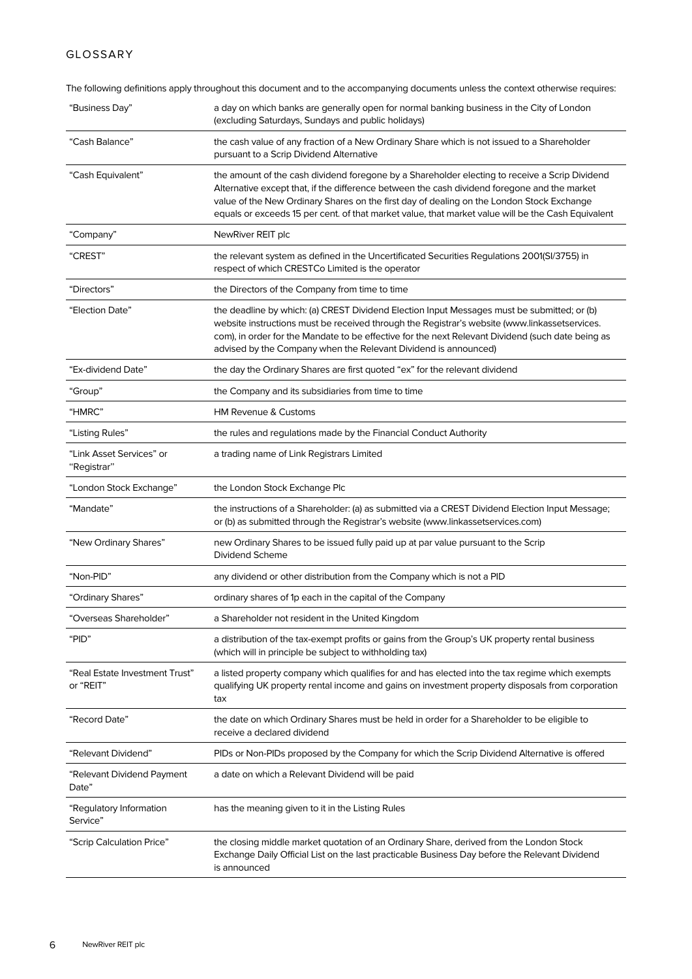# GLOSSARY

The following definitions apply throughout this document and to the accompanying documents unless the context otherwise requires:

| "Business Day"                              | a day on which banks are generally open for normal banking business in the City of London<br>(excluding Saturdays, Sundays and public holidays)                                                                                                                                                                                                                                                   |
|---------------------------------------------|---------------------------------------------------------------------------------------------------------------------------------------------------------------------------------------------------------------------------------------------------------------------------------------------------------------------------------------------------------------------------------------------------|
| "Cash Balance"                              | the cash value of any fraction of a New Ordinary Share which is not issued to a Shareholder<br>pursuant to a Scrip Dividend Alternative                                                                                                                                                                                                                                                           |
| "Cash Equivalent"                           | the amount of the cash dividend foregone by a Shareholder electing to receive a Scrip Dividend<br>Alternative except that, if the difference between the cash dividend foregone and the market<br>value of the New Ordinary Shares on the first day of dealing on the London Stock Exchange<br>equals or exceeds 15 per cent. of that market value, that market value will be the Cash Equivalent |
| "Company"                                   | NewRiver REIT plc                                                                                                                                                                                                                                                                                                                                                                                 |
| "CREST"                                     | the relevant system as defined in the Uncertificated Securities Regulations 2001(SI/3755) in<br>respect of which CRESTCo Limited is the operator                                                                                                                                                                                                                                                  |
| "Directors"                                 | the Directors of the Company from time to time                                                                                                                                                                                                                                                                                                                                                    |
| "Election Date"                             | the deadline by which: (a) CREST Dividend Election Input Messages must be submitted; or (b)<br>website instructions must be received through the Registrar's website (www.linkassetservices.<br>com), in order for the Mandate to be effective for the next Relevant Dividend (such date being as<br>advised by the Company when the Relevant Dividend is announced)                              |
| "Ex-dividend Date"                          | the day the Ordinary Shares are first quoted "ex" for the relevant dividend                                                                                                                                                                                                                                                                                                                       |
| "Group"                                     | the Company and its subsidiaries from time to time                                                                                                                                                                                                                                                                                                                                                |
| "HMRC"                                      | <b>HM Revenue &amp; Customs</b>                                                                                                                                                                                                                                                                                                                                                                   |
| "Listing Rules"                             | the rules and regulations made by the Financial Conduct Authority                                                                                                                                                                                                                                                                                                                                 |
| "Link Asset Services" or<br>"Registrar"     | a trading name of Link Registrars Limited                                                                                                                                                                                                                                                                                                                                                         |
| "London Stock Exchange"                     | the London Stock Exchange Plc                                                                                                                                                                                                                                                                                                                                                                     |
| "Mandate"                                   | the instructions of a Shareholder: (a) as submitted via a CREST Dividend Election Input Message;<br>or (b) as submitted through the Registrar's website (www.linkassetservices.com)                                                                                                                                                                                                               |
| "New Ordinary Shares"                       | new Ordinary Shares to be issued fully paid up at par value pursuant to the Scrip<br>Dividend Scheme                                                                                                                                                                                                                                                                                              |
| "Non-PID"                                   | any dividend or other distribution from the Company which is not a PID                                                                                                                                                                                                                                                                                                                            |
| "Ordinary Shares"                           | ordinary shares of 1p each in the capital of the Company                                                                                                                                                                                                                                                                                                                                          |
| "Overseas Shareholder"                      | a Shareholder not resident in the United Kingdom                                                                                                                                                                                                                                                                                                                                                  |
| "PID"                                       | a distribution of the tax-exempt profits or gains from the Group's UK property rental business<br>(which will in principle be subject to withholding tax)                                                                                                                                                                                                                                         |
| "Real Estate Investment Trust"<br>or "REIT" | a listed property company which qualifies for and has elected into the tax regime which exempts<br>qualifying UK property rental income and gains on investment property disposals from corporation<br>tax                                                                                                                                                                                        |
| "Record Date"                               | the date on which Ordinary Shares must be held in order for a Shareholder to be eligible to<br>receive a declared dividend                                                                                                                                                                                                                                                                        |
| "Relevant Dividend"                         | PIDs or Non-PIDs proposed by the Company for which the Scrip Dividend Alternative is offered                                                                                                                                                                                                                                                                                                      |
| "Relevant Dividend Payment<br>Date"         | a date on which a Relevant Dividend will be paid                                                                                                                                                                                                                                                                                                                                                  |
| "Regulatory Information<br>Service"         | has the meaning given to it in the Listing Rules                                                                                                                                                                                                                                                                                                                                                  |
| "Scrip Calculation Price"                   | the closing middle market quotation of an Ordinary Share, derived from the London Stock<br>Exchange Daily Official List on the last practicable Business Day before the Relevant Dividend<br>is announced                                                                                                                                                                                         |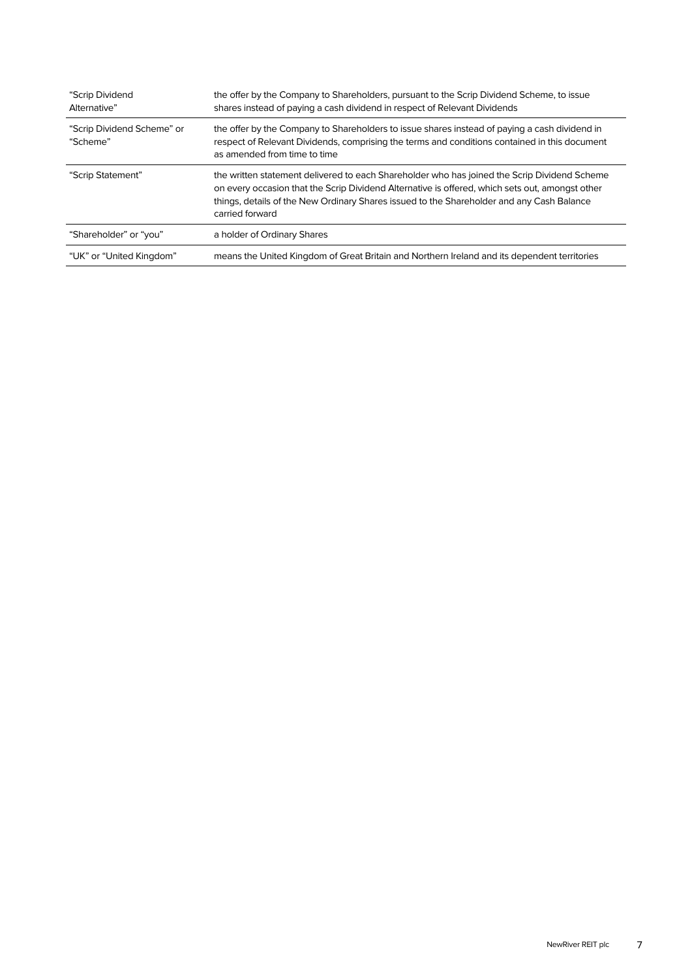| "Scrip Dividend<br>Alternative"        | the offer by the Company to Shareholders, pursuant to the Scrip Dividend Scheme, to issue<br>shares instead of paying a cash dividend in respect of Relevant Dividends                                                                                                                                          |
|----------------------------------------|-----------------------------------------------------------------------------------------------------------------------------------------------------------------------------------------------------------------------------------------------------------------------------------------------------------------|
| "Scrip Dividend Scheme" or<br>"Scheme" | the offer by the Company to Shareholders to issue shares instead of paying a cash dividend in<br>respect of Relevant Dividends, comprising the terms and conditions contained in this document<br>as amended from time to time                                                                                  |
| "Scrip Statement"                      | the written statement delivered to each Shareholder who has joined the Scrip Dividend Scheme<br>on every occasion that the Scrip Dividend Alternative is offered, which sets out, amongst other<br>things, details of the New Ordinary Shares issued to the Shareholder and any Cash Balance<br>carried forward |
| "Shareholder" or "you"                 | a holder of Ordinary Shares                                                                                                                                                                                                                                                                                     |
| "UK" or "United Kingdom"               | means the United Kingdom of Great Britain and Northern Ireland and its dependent territories                                                                                                                                                                                                                    |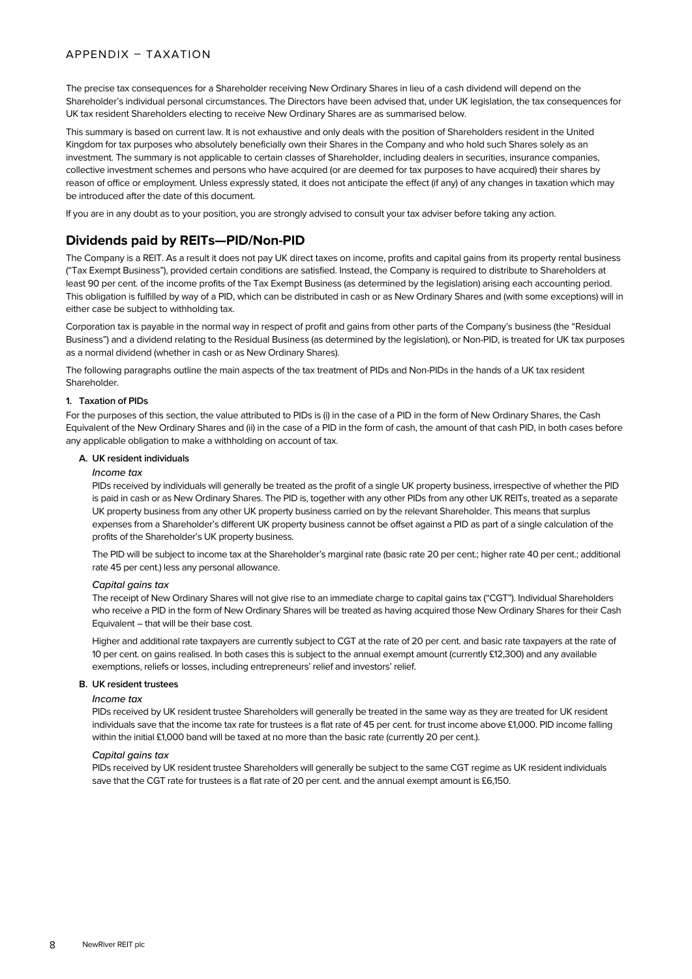# APPENDIX – TAXATION

The precise tax consequences for a Shareholder receiving New Ordinary Shares in lieu of a cash dividend will depend on the Shareholder's individual personal circumstances. The Directors have been advised that, under UK legislation, the tax consequences for UK tax resident Shareholders electing to receive New Ordinary Shares are as summarised below.

This summary is based on current law. It is not exhaustive and only deals with the position of Shareholders resident in the United Kingdom for tax purposes who absolutely beneficially own their Shares in the Company and who hold such Shares solely as an investment. The summary is not applicable to certain classes of Shareholder, including dealers in securities, insurance companies, collective investment schemes and persons who have acquired (or are deemed for tax purposes to have acquired) their shares by reason of office or employment. Unless expressly stated, it does not anticipate the effect (if any) of any changes in taxation which may be introduced after the date of this document.

If you are in any doubt as to your position, you are strongly advised to consult your tax adviser before taking any action.

# **Dividends paid by REITs—PID/Non-PID**

The Company is a REIT. As a result it does not pay UK direct taxes on income, profits and capital gains from its property rental business ("Tax Exempt Business"), provided certain conditions are satisfied. Instead, the Company is required to distribute to Shareholders at least 90 per cent. of the income profits of the Tax Exempt Business (as determined by the legislation) arising each accounting period. This obligation is fulfilled by way of a PID, which can be distributed in cash or as New Ordinary Shares and (with some exceptions) will in either case be subject to withholding tax.

Corporation tax is payable in the normal way in respect of profit and gains from other parts of the Company's business (the "Residual Business") and a dividend relating to the Residual Business (as determined by the legislation), or Non-PID, is treated for UK tax purposes as a normal dividend (whether in cash or as New Ordinary Shares).

The following paragraphs outline the main aspects of the tax treatment of PIDs and Non-PIDs in the hands of a UK tax resident Shareholder.

# **1. Taxation of PIDs**

For the purposes of this section, the value attributed to PIDs is (i) in the case of a PID in the form of New Ordinary Shares, the Cash Equivalent of the New Ordinary Shares and (ii) in the case of a PID in the form of cash, the amount of that cash PID, in both cases before any applicable obligation to make a withholding on account of tax.

# **A. UK resident individuals**

# *Income tax*

PIDs received by individuals will generally be treated as the profit of a single UK property business, irrespective of whether the PID is paid in cash or as New Ordinary Shares. The PID is, together with any other PIDs from any other UK REITs, treated as a separate UK property business from any other UK property business carried on by the relevant Shareholder. This means that surplus expenses from a Shareholder's different UK property business cannot be offset against a PID as part of a single calculation of the profits of the Shareholder's UK property business.

The PID will be subject to income tax at the Shareholder's marginal rate (basic rate 20 per cent.; higher rate 40 per cent.; additional rate 45 per cent.) less any personal allowance.

# *Capital gains tax*

The receipt of New Ordinary Shares will not give rise to an immediate charge to capital gains tax ("CGT"). Individual Shareholders who receive a PID in the form of New Ordinary Shares will be treated as having acquired those New Ordinary Shares for their Cash Equivalent – that will be their base cost.

Higher and additional rate taxpayers are currently subject to CGT at the rate of 20 per cent. and basic rate taxpayers at the rate of 10 per cent. on gains realised. In both cases this is subject to the annual exempt amount (currently £12,300) and any available exemptions, reliefs or losses, including entrepreneurs' relief and investors' relief.

# **B. UK resident trustees**

#### *Income tax*

PIDs received by UK resident trustee Shareholders will generally be treated in the same way as they are treated for UK resident individuals save that the income tax rate for trustees is a flat rate of 45 per cent. for trust income above £1,000. PID income falling within the initial £1,000 band will be taxed at no more than the basic rate (currently 20 per cent.).

# *Capital gains tax*

PIDs received by UK resident trustee Shareholders will generally be subject to the same CGT regime as UK resident individuals save that the CGT rate for trustees is a flat rate of 20 per cent, and the annual exempt amount is £6,150.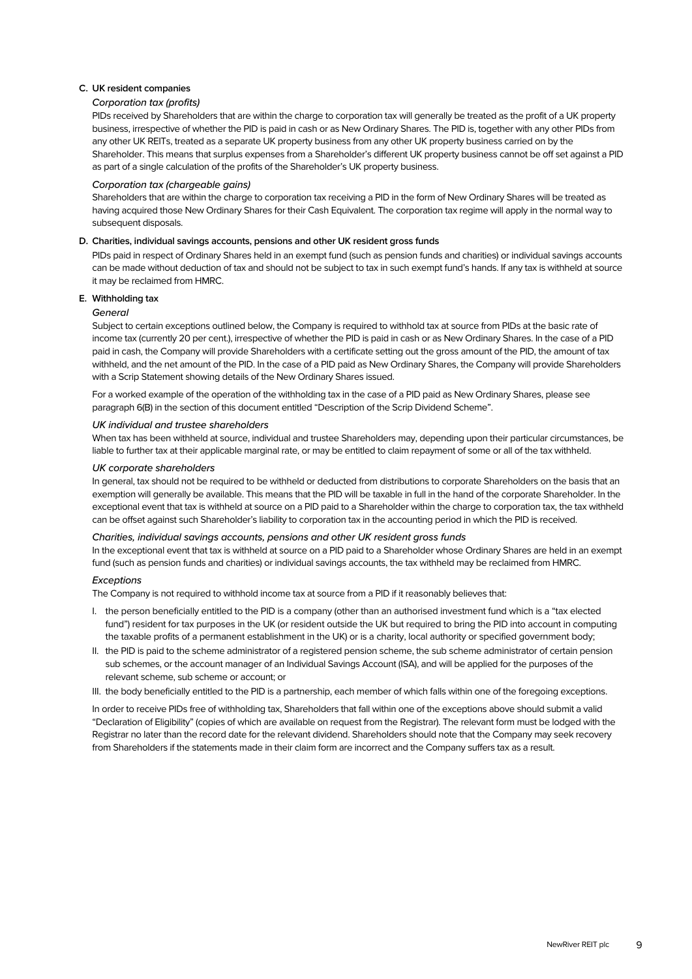# **C. UK resident companies**

# *Corporation tax (profits)*

PIDs received by Shareholders that are within the charge to corporation tax will generally be treated as the profit of a UK property business, irrespective of whether the PID is paid in cash or as New Ordinary Shares. The PID is, together with any other PIDs from any other UK REITs, treated as a separate UK property business from any other UK property business carried on by the Shareholder. This means that surplus expenses from a Shareholder's different UK property business cannot be off set against a PID as part of a single calculation of the profits of the Shareholder's UK property business.

# *Corporation tax (chargeable gains)*

Shareholders that are within the charge to corporation tax receiving a PID in the form of New Ordinary Shares will be treated as having acquired those New Ordinary Shares for their Cash Equivalent. The corporation tax regime will apply in the normal way to subsequent disposals.

#### **D. Charities, individual savings accounts, pensions and other UK resident gross funds**

PIDs paid in respect of Ordinary Shares held in an exempt fund (such as pension funds and charities) or individual savings accounts can be made without deduction of tax and should not be subject to tax in such exempt fund's hands. If any tax is withheld at source it may be reclaimed from HMRC.

# **E. Withholding tax**

#### *General*

Subject to certain exceptions outlined below, the Company is required to withhold tax at source from PIDs at the basic rate of income tax (currently 20 per cent.), irrespective of whether the PID is paid in cash or as New Ordinary Shares. In the case of a PID paid in cash, the Company will provide Shareholders with a certificate setting out the gross amount of the PID, the amount of tax withheld, and the net amount of the PID. In the case of a PID paid as New Ordinary Shares, the Company will provide Shareholders with a Scrip Statement showing details of the New Ordinary Shares issued.

For a worked example of the operation of the withholding tax in the case of a PID paid as New Ordinary Shares, please see paragraph 6(B) in the section of this document entitled "Description of the Scrip Dividend Scheme".

#### *UK individual and trustee shareholders*

When tax has been withheld at source, individual and trustee Shareholders may, depending upon their particular circumstances, be liable to further tax at their applicable marginal rate, or may be entitled to claim repayment of some or all of the tax withheld.

#### *UK corporate shareholders*

In general, tax should not be required to be withheld or deducted from distributions to corporate Shareholders on the basis that an exemption will generally be available. This means that the PID will be taxable in full in the hand of the corporate Shareholder. In the exceptional event that tax is withheld at source on a PID paid to a Shareholder within the charge to corporation tax, the tax withheld can be offset against such Shareholder's liability to corporation tax in the accounting period in which the PID is received.

# *Charities, individual savings accounts, pensions and other UK resident gross funds*

In the exceptional event that tax is withheld at source on a PID paid to a Shareholder whose Ordinary Shares are held in an exempt fund (such as pension funds and charities) or individual savings accounts, the tax withheld may be reclaimed from HMRC.

# *Exceptions*

The Company is not required to withhold income tax at source from a PID if it reasonably believes that:

- I. the person beneficially entitled to the PID is a company (other than an authorised investment fund which is a "tax elected fund") resident for tax purposes in the UK (or resident outside the UK but required to bring the PID into account in computing the taxable profits of a permanent establishment in the UK) or is a charity, local authority or specified government body;
- II. the PID is paid to the scheme administrator of a registered pension scheme, the sub scheme administrator of certain pension sub schemes, or the account manager of an Individual Savings Account (ISA), and will be applied for the purposes of the relevant scheme, sub scheme or account; or

III. the body beneficially entitled to the PID is a partnership, each member of which falls within one of the foregoing exceptions.

In order to receive PIDs free of withholding tax, Shareholders that fall within one of the exceptions above should submit a valid "Declaration of Eligibility" (copies of which are available on request from the Registrar). The relevant form must be lodged with the Registrar no later than the record date for the relevant dividend. Shareholders should note that the Company may seek recovery from Shareholders if the statements made in their claim form are incorrect and the Company suffers tax as a result.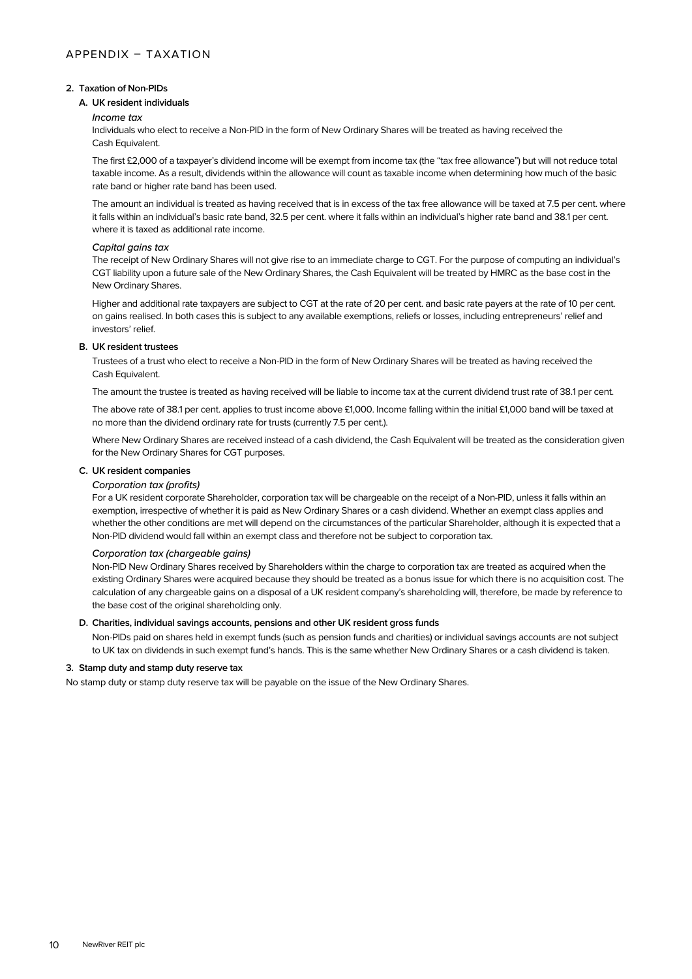# **2. Taxation of Non-PIDs**

# **A. UK resident individuals**

# *Income tax*

Individuals who elect to receive a Non-PID in the form of New Ordinary Shares will be treated as having received the Cash Equivalent.

The first £2,000 of a taxpayer's dividend income will be exempt from income tax (the "tax free allowance") but will not reduce total taxable income. As a result, dividends within the allowance will count as taxable income when determining how much of the basic rate band or higher rate band has been used.

The amount an individual is treated as having received that is in excess of the tax free allowance will be taxed at 7.5 per cent. where it falls within an individual's basic rate band, 32.5 per cent. where it falls within an individual's higher rate band and 38.1 per cent. where it is taxed as additional rate income.

# *Capital gains tax*

The receipt of New Ordinary Shares will not give rise to an immediate charge to CGT. For the purpose of computing an individual's CGT liability upon a future sale of the New Ordinary Shares, the Cash Equivalent will be treated by HMRC as the base cost in the New Ordinary Shares.

Higher and additional rate taxpayers are subject to CGT at the rate of 20 per cent. and basic rate payers at the rate of 10 per cent. on gains realised. In both cases this is subject to any available exemptions, reliefs or losses, including entrepreneurs' relief and investors' relief.

# **B. UK resident trustees**

Trustees of a trust who elect to receive a Non-PID in the form of New Ordinary Shares will be treated as having received the Cash Equivalent.

The amount the trustee is treated as having received will be liable to income tax at the current dividend trust rate of 38.1 per cent.

The above rate of 38.1 per cent. applies to trust income above £1,000. Income falling within the initial £1,000 band will be taxed at no more than the dividend ordinary rate for trusts (currently 7.5 per cent.).

Where New Ordinary Shares are received instead of a cash dividend, the Cash Equivalent will be treated as the consideration given for the New Ordinary Shares for CGT purposes.

# **C. UK resident companies**

# *Corporation tax (profits)*

For a UK resident corporate Shareholder, corporation tax will be chargeable on the receipt of a Non-PID, unless it falls within an exemption, irrespective of whether it is paid as New Ordinary Shares or a cash dividend. Whether an exempt class applies and whether the other conditions are met will depend on the circumstances of the particular Shareholder, although it is expected that a Non-PID dividend would fall within an exempt class and therefore not be subject to corporation tax.

# *Corporation tax (chargeable gains)*

Non-PID New Ordinary Shares received by Shareholders within the charge to corporation tax are treated as acquired when the existing Ordinary Shares were acquired because they should be treated as a bonus issue for which there is no acquisition cost. The calculation of any chargeable gains on a disposal of a UK resident company's shareholding will, therefore, be made by reference to the base cost of the original shareholding only.

# **D. Charities, individual savings accounts, pensions and other UK resident gross funds**

Non-PIDs paid on shares held in exempt funds (such as pension funds and charities) or individual savings accounts are not subject to UK tax on dividends in such exempt fund's hands. This is the same whether New Ordinary Shares or a cash dividend is taken.

# **3. Stamp duty and stamp duty reserve tax**

No stamp duty or stamp duty reserve tax will be payable on the issue of the New Ordinary Shares.